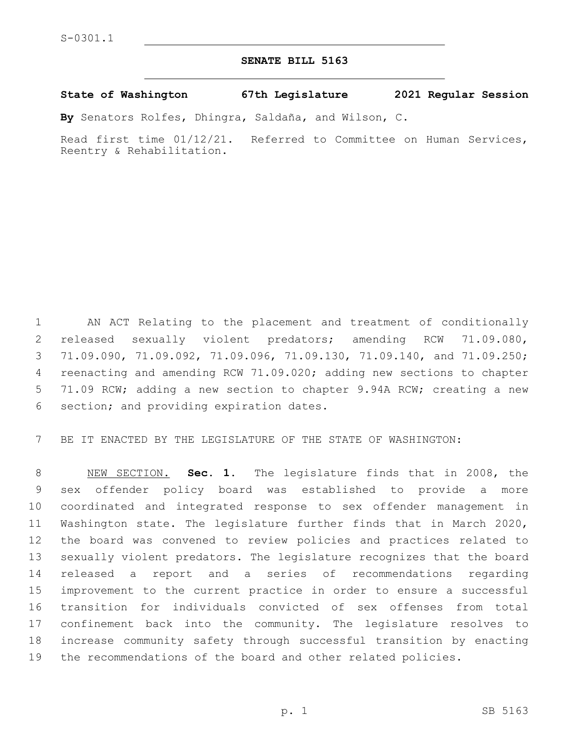## **SENATE BILL 5163**

**State of Washington 67th Legislature 2021 Regular Session**

**By** Senators Rolfes, Dhingra, Saldaña, and Wilson, C.

Read first time 01/12/21. Referred to Committee on Human Services, Reentry & Rehabilitation.

 AN ACT Relating to the placement and treatment of conditionally released sexually violent predators; amending RCW 71.09.080, 71.09.090, 71.09.092, 71.09.096, 71.09.130, 71.09.140, and 71.09.250; reenacting and amending RCW 71.09.020; adding new sections to chapter 71.09 RCW; adding a new section to chapter 9.94A RCW; creating a new 6 section; and providing expiration dates.

BE IT ENACTED BY THE LEGISLATURE OF THE STATE OF WASHINGTON:

 NEW SECTION. **Sec. 1.** The legislature finds that in 2008, the sex offender policy board was established to provide a more coordinated and integrated response to sex offender management in Washington state. The legislature further finds that in March 2020, the board was convened to review policies and practices related to sexually violent predators. The legislature recognizes that the board released a report and a series of recommendations regarding improvement to the current practice in order to ensure a successful transition for individuals convicted of sex offenses from total confinement back into the community. The legislature resolves to increase community safety through successful transition by enacting the recommendations of the board and other related policies.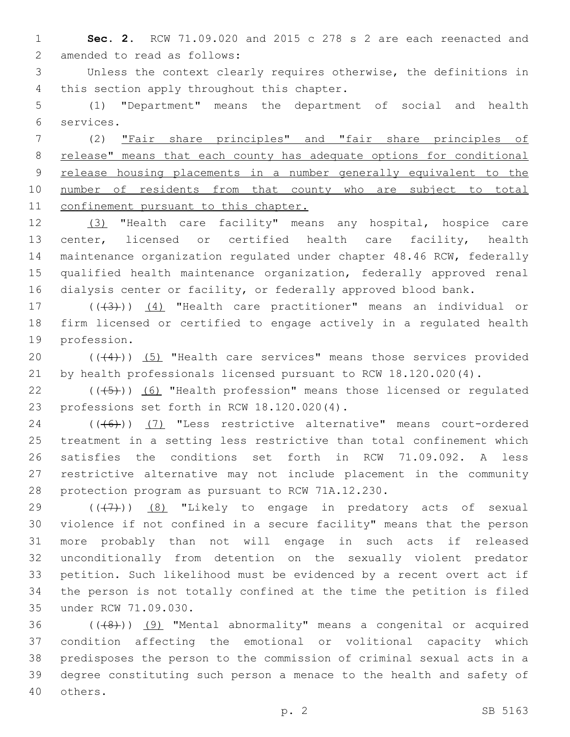**Sec. 2.** RCW 71.09.020 and 2015 c 278 s 2 are each reenacted and 2 amended to read as follows:

 Unless the context clearly requires otherwise, the definitions in 4 this section apply throughout this chapter.

 (1) "Department" means the department of social and health services.6

 (2) "Fair share principles" and "fair share principles of release" means that each county has adequate options for conditional release housing placements in a number generally equivalent to the 10 number of residents from that county who are subject to total 11 confinement pursuant to this chapter.

 (3) "Health care facility" means any hospital, hospice care center, licensed or certified health care facility, health maintenance organization regulated under chapter 48.46 RCW, federally qualified health maintenance organization, federally approved renal dialysis center or facility, or federally approved blood bank.

17 (((43))) (4) "Health care practitioner" means an individual or firm licensed or certified to engage actively in a regulated health 19 profession.

20 (((4))) (5) "Health care services" means those services provided by health professionals licensed pursuant to RCW 18.120.020(4).

 $((\overline{5})$  (6) "Health profession" means those licensed or regulated 23 professions set forth in RCW 18.120.020(4).

24 (((6)) (7) "Less restrictive alternative" means court-ordered treatment in a setting less restrictive than total confinement which satisfies the conditions set forth in RCW 71.09.092. A less restrictive alternative may not include placement in the community 28 protection program as pursuant to RCW 71A.12.230.

 $((+7+))$  (8) "Likely to engage in predatory acts of sexual violence if not confined in a secure facility" means that the person more probably than not will engage in such acts if released unconditionally from detention on the sexually violent predator petition. Such likelihood must be evidenced by a recent overt act if the person is not totally confined at the time the petition is filed 35 under RCW 71.09.030.

 ( $(48)$ )) (9) "Mental abnormality" means a congenital or acquired condition affecting the emotional or volitional capacity which predisposes the person to the commission of criminal sexual acts in a degree constituting such person a menace to the health and safety of 40 others.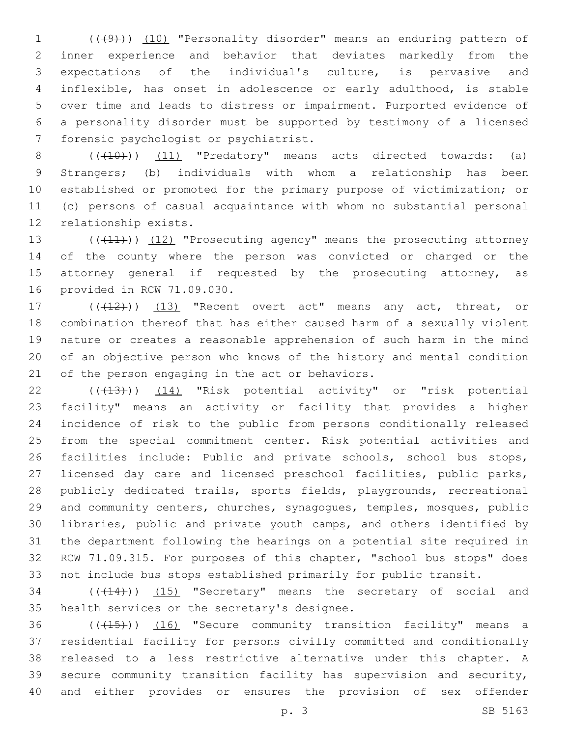1 (((49))) (10) "Personality disorder" means an enduring pattern of inner experience and behavior that deviates markedly from the expectations of the individual's culture, is pervasive and inflexible, has onset in adolescence or early adulthood, is stable over time and leads to distress or impairment. Purported evidence of a personality disorder must be supported by testimony of a licensed 7 forensic psychologist or psychiatrist.

 $((+10))$   $(11)$  "Predatory" means acts directed towards: (a) Strangers; (b) individuals with whom a relationship has been established or promoted for the primary purpose of victimization; or (c) persons of casual acquaintance with whom no substantial personal 12 relationship exists.

13 ((+11)) (12) "Prosecuting agency" means the prosecuting attorney of the county where the person was convicted or charged or the 15 attorney general if requested by the prosecuting attorney, as 16 provided in RCW 71.09.030.

17 (((412))) (13) "Recent overt act" means any act, threat, or combination thereof that has either caused harm of a sexually violent nature or creates a reasonable apprehension of such harm in the mind of an objective person who knows of the history and mental condition 21 of the person engaging in the act or behaviors.

22 (( $(43)$ )) (14) "Risk potential activity" or "risk potential facility" means an activity or facility that provides a higher incidence of risk to the public from persons conditionally released from the special commitment center. Risk potential activities and 26 facilities include: Public and private schools, school bus stops, licensed day care and licensed preschool facilities, public parks, publicly dedicated trails, sports fields, playgrounds, recreational and community centers, churches, synagogues, temples, mosques, public libraries, public and private youth camps, and others identified by the department following the hearings on a potential site required in RCW 71.09.315. For purposes of this chapter, "school bus stops" does not include bus stops established primarily for public transit.

34 (( $(14)$ )) (15) "Secretary" means the secretary of social and 35 health services or the secretary's designee.

36 (((15))) (16) "Secure community transition facility" means a residential facility for persons civilly committed and conditionally released to a less restrictive alternative under this chapter. A secure community transition facility has supervision and security, and either provides or ensures the provision of sex offender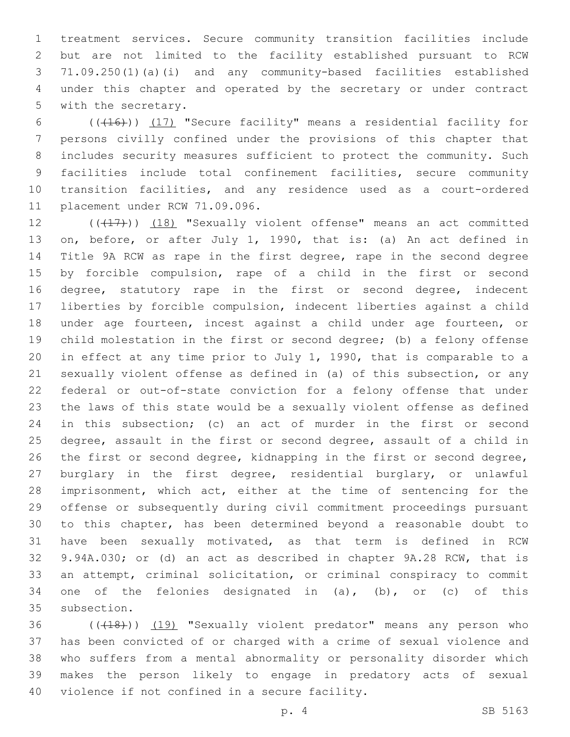treatment services. Secure community transition facilities include but are not limited to the facility established pursuant to RCW 71.09.250(1)(a)(i) and any community-based facilities established under this chapter and operated by the secretary or under contract 5 with the secretary.

6 (((416)) (17) "Secure facility" means a residential facility for persons civilly confined under the provisions of this chapter that includes security measures sufficient to protect the community. Such facilities include total confinement facilities, secure community transition facilities, and any residence used as a court-ordered 11 placement under RCW 71.09.096.

12 (((17))) (18) "Sexually violent offense" means an act committed on, before, or after July 1, 1990, that is: (a) An act defined in Title 9A RCW as rape in the first degree, rape in the second degree by forcible compulsion, rape of a child in the first or second 16 degree, statutory rape in the first or second degree, indecent liberties by forcible compulsion, indecent liberties against a child under age fourteen, incest against a child under age fourteen, or child molestation in the first or second degree; (b) a felony offense in effect at any time prior to July 1, 1990, that is comparable to a sexually violent offense as defined in (a) of this subsection, or any federal or out-of-state conviction for a felony offense that under the laws of this state would be a sexually violent offense as defined in this subsection; (c) an act of murder in the first or second degree, assault in the first or second degree, assault of a child in the first or second degree, kidnapping in the first or second degree, burglary in the first degree, residential burglary, or unlawful imprisonment, which act, either at the time of sentencing for the offense or subsequently during civil commitment proceedings pursuant to this chapter, has been determined beyond a reasonable doubt to have been sexually motivated, as that term is defined in RCW 9.94A.030; or (d) an act as described in chapter 9A.28 RCW, that is an attempt, criminal solicitation, or criminal conspiracy to commit 34 one of the felonies designated in  $(a)$ ,  $(b)$ , or  $(c)$  of this 35 subsection.

36 (((18))) (19) "Sexually violent predator" means any person who has been convicted of or charged with a crime of sexual violence and who suffers from a mental abnormality or personality disorder which makes the person likely to engage in predatory acts of sexual 40 violence if not confined in a secure facility.

p. 4 SB 5163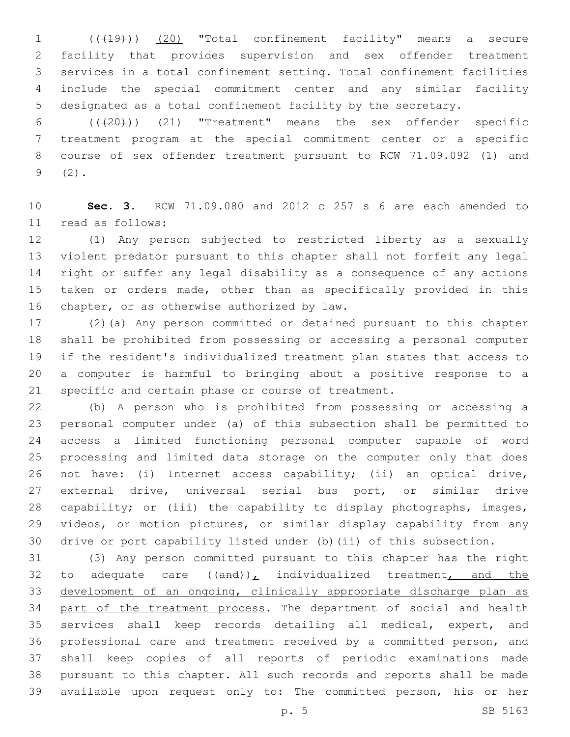(((19))) (20) "Total confinement facility" means a secure facility that provides supervision and sex offender treatment services in a total confinement setting. Total confinement facilities include the special commitment center and any similar facility designated as a total confinement facility by the secretary.

 $((+20))$   $(21)$  "Treatment" means the sex offender specific treatment program at the special commitment center or a specific course of sex offender treatment pursuant to RCW 71.09.092 (1) and  $9(2)$ .

 **Sec. 3.** RCW 71.09.080 and 2012 c 257 s 6 are each amended to 11 read as follows:

 (1) Any person subjected to restricted liberty as a sexually violent predator pursuant to this chapter shall not forfeit any legal right or suffer any legal disability as a consequence of any actions taken or orders made, other than as specifically provided in this 16 chapter, or as otherwise authorized by law.

 (2)(a) Any person committed or detained pursuant to this chapter shall be prohibited from possessing or accessing a personal computer if the resident's individualized treatment plan states that access to a computer is harmful to bringing about a positive response to a specific and certain phase or course of treatment.

 (b) A person who is prohibited from possessing or accessing a personal computer under (a) of this subsection shall be permitted to access a limited functioning personal computer capable of word processing and limited data storage on the computer only that does not have: (i) Internet access capability; (ii) an optical drive, external drive, universal serial bus port, or similar drive capability; or (iii) the capability to display photographs, images, videos, or motion pictures, or similar display capability from any drive or port capability listed under (b)(ii) of this subsection.

 (3) Any person committed pursuant to this chapter has the right 32 to adequate care  $((and))_L$  individualized treatment, and the development of an ongoing, clinically appropriate discharge plan as 34 part of the treatment process. The department of social and health services shall keep records detailing all medical, expert, and professional care and treatment received by a committed person, and shall keep copies of all reports of periodic examinations made pursuant to this chapter. All such records and reports shall be made available upon request only to: The committed person, his or her

p. 5 SB 5163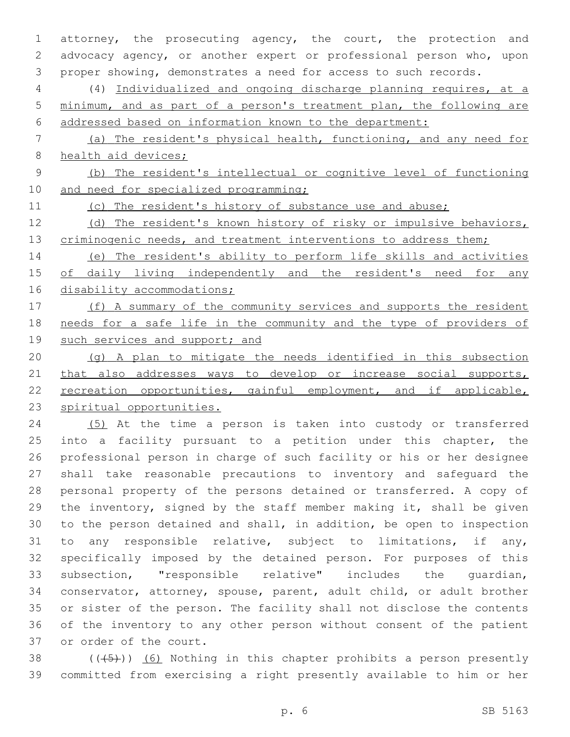attorney, the prosecuting agency, the court, the protection and advocacy agency, or another expert or professional person who, upon proper showing, demonstrates a need for access to such records.

 (4) Individualized and ongoing discharge planning requires, at a minimum, and as part of a person's treatment plan, the following are addressed based on information known to the department:

 (a) The resident's physical health, functioning, and any need for 8 health aid devices;

 (b) The resident's intellectual or cognitive level of functioning 10 and need for specialized programming;

(c) The resident's history of substance use and abuse;

12 (d) The resident's known history of risky or impulsive behaviors, 13 criminogenic needs, and treatment interventions to address them;

 (e) The resident's ability to perform life skills and activities of daily living independently and the resident's need for any 16 disability accommodations;

17 (f) A summary of the community services and supports the resident 18 needs for a safe life in the community and the type of providers of 19 such services and support; and

 (g) A plan to mitigate the needs identified in this subsection 21 that also addresses ways to develop or increase social supports, 22 recreation opportunities, gainful employment, and if applicable, spiritual opportunities.

 (5) At the time a person is taken into custody or transferred 25 into a facility pursuant to a petition under this chapter, the professional person in charge of such facility or his or her designee shall take reasonable precautions to inventory and safeguard the personal property of the persons detained or transferred. A copy of the inventory, signed by the staff member making it, shall be given to the person detained and shall, in addition, be open to inspection to any responsible relative, subject to limitations, if any, specifically imposed by the detained person. For purposes of this subsection, "responsible relative" includes the guardian, conservator, attorney, spouse, parent, adult child, or adult brother or sister of the person. The facility shall not disclose the contents of the inventory to any other person without consent of the patient 37 or order of the court.

38  $((\overline{5})^{\circ})$  (6) Nothing in this chapter prohibits a person presently committed from exercising a right presently available to him or her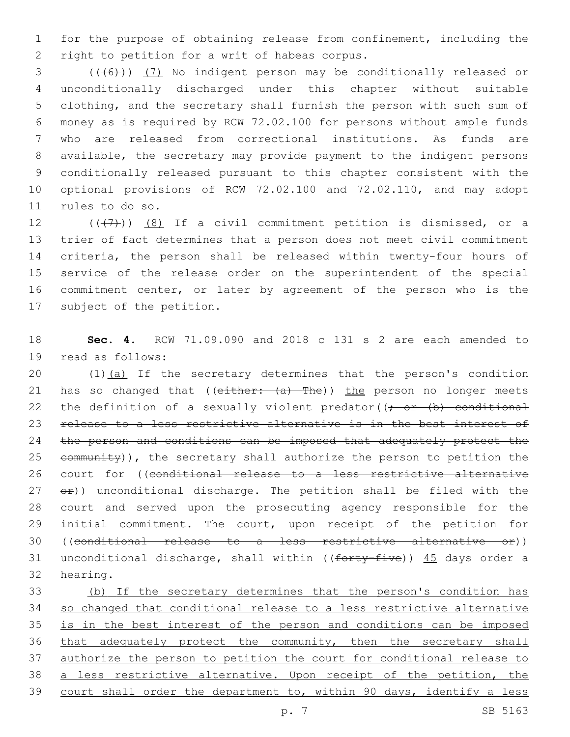for the purpose of obtaining release from confinement, including the 2 right to petition for a writ of habeas corpus.

3 (((6)) (7) No indigent person may be conditionally released or unconditionally discharged under this chapter without suitable clothing, and the secretary shall furnish the person with such sum of money as is required by RCW 72.02.100 for persons without ample funds who are released from correctional institutions. As funds are available, the secretary may provide payment to the indigent persons conditionally released pursuant to this chapter consistent with the optional provisions of RCW 72.02.100 and 72.02.110, and may adopt 11 rules to do so.

 $((+7+))$   $(8)$  If a civil commitment petition is dismissed, or a trier of fact determines that a person does not meet civil commitment criteria, the person shall be released within twenty-four hours of service of the release order on the superintendent of the special commitment center, or later by agreement of the person who is the 17 subject of the petition.

 **Sec. 4.** RCW 71.09.090 and 2018 c 131 s 2 are each amended to 19 read as follows:

20 (1)(a) If the secretary determines that the person's condition 21 has so changed that ((either: (a) The)) the person no longer meets 22 the definition of a sexually violent predator( $\rightarrow$  or  $(b)$  conditional release to a less restrictive alternative is in the best interest of the person and conditions can be imposed that adequately protect the  $e$ ommunity)), the secretary shall authorize the person to petition the court for ((conditional release to a less restrictive alternative  $e^2$ )) unconditional discharge. The petition shall be filed with the court and served upon the prosecuting agency responsible for the initial commitment. The court, upon receipt of the petition for ((conditional release to a less restrictive alternative or)) 31 unconditional discharge, shall within (( $f$ orty-five))  $45$  days order a 32 hearing.

 (b) If the secretary determines that the person's condition has so changed that conditional release to a less restrictive alternative is in the best interest of the person and conditions can be imposed that adequately protect the community, then the secretary shall authorize the person to petition the court for conditional release to a less restrictive alternative. Upon receipt of the petition, the court shall order the department to, within 90 days, identify a less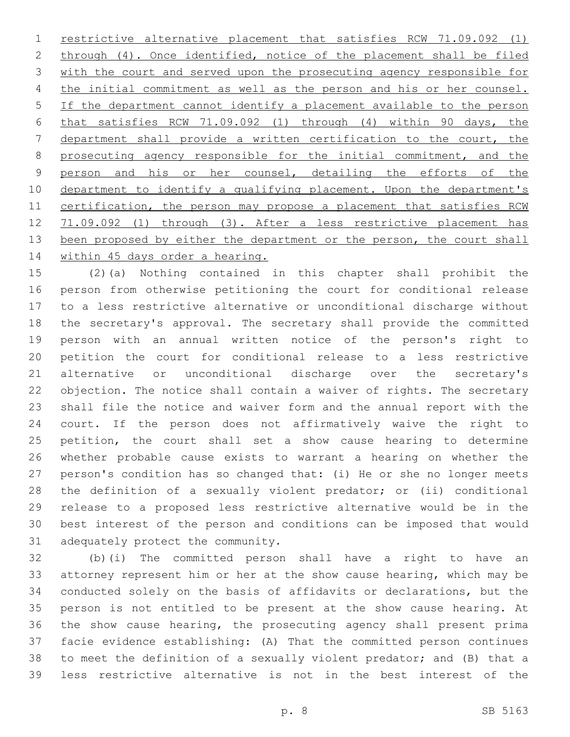restrictive alternative placement that satisfies RCW 71.09.092 (1) 2 through (4). Once identified, notice of the placement shall be filed with the court and served upon the prosecuting agency responsible for the initial commitment as well as the person and his or her counsel. If the department cannot identify a placement available to the person that satisfies RCW 71.09.092 (1) through (4) within 90 days, the department shall provide a written certification to the court, the prosecuting agency responsible for the initial commitment, and the 9 person and his or her counsel, detailing the efforts of the 10 department to identify a qualifying placement. Upon the department's 11 certification, the person may propose a placement that satisfies RCW 71.09.092 (1) through (3). After a less restrictive placement has 13 been proposed by either the department or the person, the court shall 14 within 45 days order a hearing.

 (2)(a) Nothing contained in this chapter shall prohibit the person from otherwise petitioning the court for conditional release to a less restrictive alternative or unconditional discharge without the secretary's approval. The secretary shall provide the committed person with an annual written notice of the person's right to petition the court for conditional release to a less restrictive alternative or unconditional discharge over the secretary's objection. The notice shall contain a waiver of rights. The secretary shall file the notice and waiver form and the annual report with the court. If the person does not affirmatively waive the right to petition, the court shall set a show cause hearing to determine whether probable cause exists to warrant a hearing on whether the person's condition has so changed that: (i) He or she no longer meets the definition of a sexually violent predator; or (ii) conditional release to a proposed less restrictive alternative would be in the best interest of the person and conditions can be imposed that would 31 adequately protect the community.

 (b)(i) The committed person shall have a right to have an attorney represent him or her at the show cause hearing, which may be conducted solely on the basis of affidavits or declarations, but the person is not entitled to be present at the show cause hearing. At the show cause hearing, the prosecuting agency shall present prima facie evidence establishing: (A) That the committed person continues to meet the definition of a sexually violent predator; and (B) that a less restrictive alternative is not in the best interest of the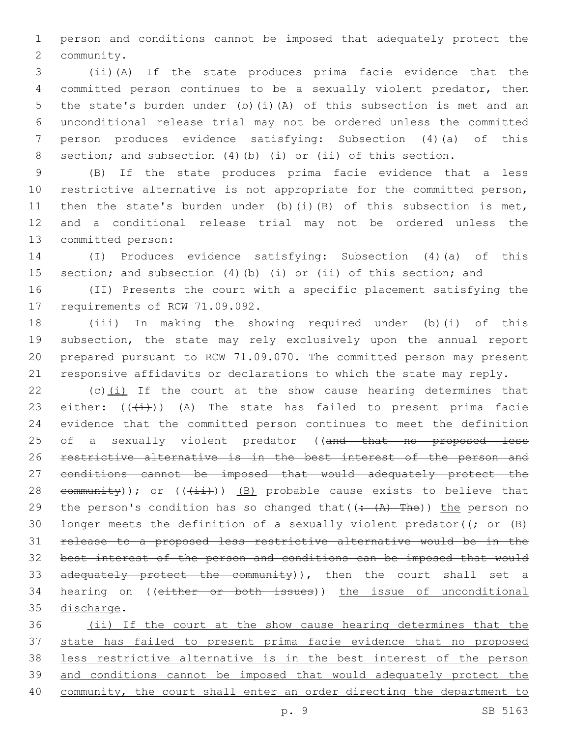person and conditions cannot be imposed that adequately protect the 2 community.

 (ii)(A) If the state produces prima facie evidence that the committed person continues to be a sexually violent predator, then the state's burden under (b)(i)(A) of this subsection is met and an unconditional release trial may not be ordered unless the committed person produces evidence satisfying: Subsection (4)(a) of this section; and subsection (4)(b) (i) or (ii) of this section.

 (B) If the state produces prima facie evidence that a less restrictive alternative is not appropriate for the committed person, 11 then the state's burden under (b)(i)(B) of this subsection is met, and a conditional release trial may not be ordered unless the 13 committed person:

 (I) Produces evidence satisfying: Subsection (4)(a) of this section; and subsection (4)(b) (i) or (ii) of this section; and

 (II) Presents the court with a specific placement satisfying the 17 requirements of RCW 71.09.092.

 (iii) In making the showing required under (b)(i) of this subsection, the state may rely exclusively upon the annual report prepared pursuant to RCW 71.09.070. The committed person may present responsive affidavits or declarations to which the state may reply.

22 (c) $(i)$  If the court at the show cause hearing determines that 23 either:  $((+i))$   $(A)$  The state has failed to present prima facie evidence that the committed person continues to meet the definition 25 of a sexually violent predator ((and that no proposed less restrictive alternative is in the best interest of the person and conditions cannot be imposed that would adequately protect the 28 community)); or  $((\pm i)^2)$  (B) probable cause exists to believe that 29 the person's condition has so changed that  $((\div(A)-The))$  the person no 30 longer meets the definition of a sexually violent predator( $\rightarrow$   $\rightarrow$   $\rightarrow$  release to a proposed less restrictive alternative would be in the best interest of the person and conditions can be imposed that would 33 adequately protect the community)), then the court shall set a hearing on ((either or both issues)) the issue of unconditional 35 discharge.

 (ii) If the court at the show cause hearing determines that the state has failed to present prima facie evidence that no proposed less restrictive alternative is in the best interest of the person and conditions cannot be imposed that would adequately protect the community, the court shall enter an order directing the department to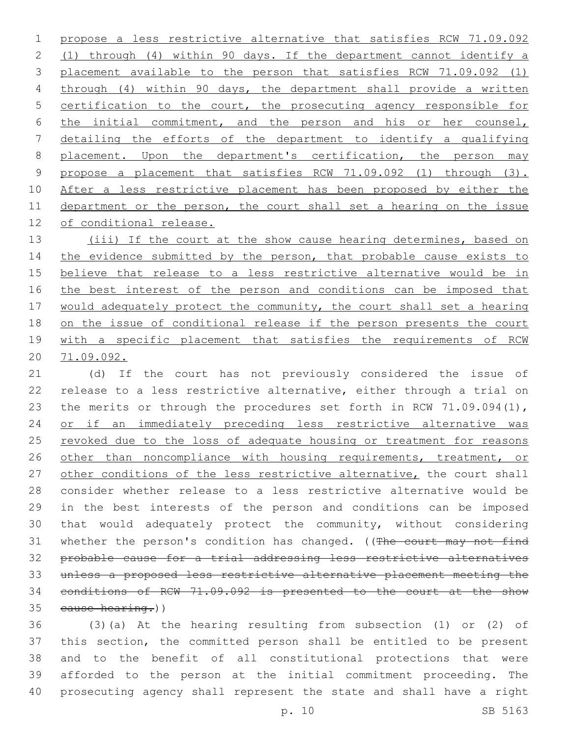propose a less restrictive alternative that satisfies RCW 71.09.092 (1) through (4) within 90 days. If the department cannot identify a placement available to the person that satisfies RCW 71.09.092 (1) through (4) within 90 days, the department shall provide a written certification to the court, the prosecuting agency responsible for the initial commitment, and the person and his or her counsel, detailing the efforts of the department to identify a qualifying 8 placement. Upon the department's certification, the person may propose a placement that satisfies RCW 71.09.092 (1) through (3). After a less restrictive placement has been proposed by either the department or the person, the court shall set a hearing on the issue 12 of conditional release.

13 (iii) If the court at the show cause hearing determines, based on 14 the evidence submitted by the person, that probable cause exists to believe that release to a less restrictive alternative would be in 16 the best interest of the person and conditions can be imposed that would adequately protect the community, the court shall set a hearing on the issue of conditional release if the person presents the court 19 with a specific placement that satisfies the requirements of RCW 71.09.092.

 (d) If the court has not previously considered the issue of release to a less restrictive alternative, either through a trial on 23 the merits or through the procedures set forth in RCW 71.09.094(1), or if an immediately preceding less restrictive alternative was 25 revoked due to the loss of adequate housing or treatment for reasons 26 other than noncompliance with housing requirements, treatment, or 27 other conditions of the less restrictive alternative, the court shall consider whether release to a less restrictive alternative would be in the best interests of the person and conditions can be imposed that would adequately protect the community, without considering 31 whether the person's condition has changed. ((The court may not find probable cause for a trial addressing less restrictive alternatives unless a proposed less restrictive alternative placement meeting the conditions of RCW 71.09.092 is presented to the court at the show 35 cause hearing.))

 (3)(a) At the hearing resulting from subsection (1) or (2) of this section, the committed person shall be entitled to be present and to the benefit of all constitutional protections that were afforded to the person at the initial commitment proceeding. The prosecuting agency shall represent the state and shall have a right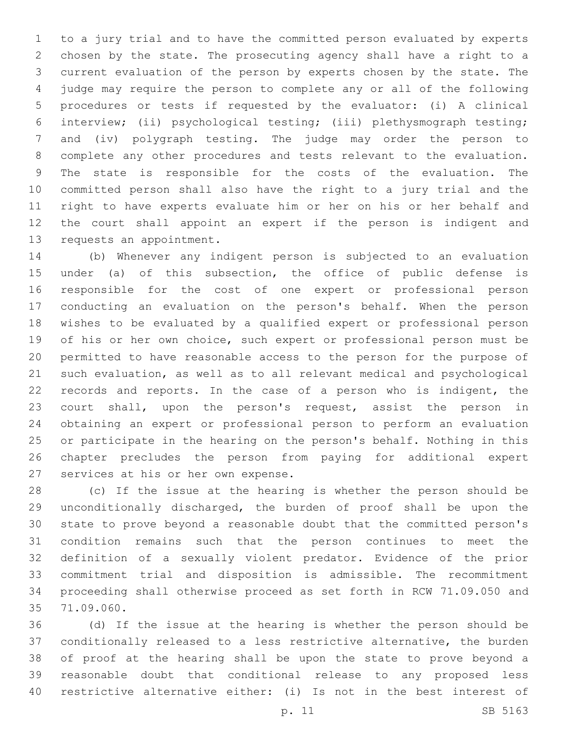to a jury trial and to have the committed person evaluated by experts chosen by the state. The prosecuting agency shall have a right to a current evaluation of the person by experts chosen by the state. The judge may require the person to complete any or all of the following procedures or tests if requested by the evaluator: (i) A clinical interview; (ii) psychological testing; (iii) plethysmograph testing; and (iv) polygraph testing. The judge may order the person to complete any other procedures and tests relevant to the evaluation. The state is responsible for the costs of the evaluation. The committed person shall also have the right to a jury trial and the right to have experts evaluate him or her on his or her behalf and the court shall appoint an expert if the person is indigent and 13 requests an appointment.

 (b) Whenever any indigent person is subjected to an evaluation under (a) of this subsection, the office of public defense is responsible for the cost of one expert or professional person conducting an evaluation on the person's behalf. When the person wishes to be evaluated by a qualified expert or professional person of his or her own choice, such expert or professional person must be permitted to have reasonable access to the person for the purpose of such evaluation, as well as to all relevant medical and psychological records and reports. In the case of a person who is indigent, the court shall, upon the person's request, assist the person in obtaining an expert or professional person to perform an evaluation or participate in the hearing on the person's behalf. Nothing in this chapter precludes the person from paying for additional expert 27 services at his or her own expense.

 (c) If the issue at the hearing is whether the person should be unconditionally discharged, the burden of proof shall be upon the state to prove beyond a reasonable doubt that the committed person's condition remains such that the person continues to meet the definition of a sexually violent predator. Evidence of the prior commitment trial and disposition is admissible. The recommitment proceeding shall otherwise proceed as set forth in RCW 71.09.050 and 71.09.060.35

 (d) If the issue at the hearing is whether the person should be conditionally released to a less restrictive alternative, the burden of proof at the hearing shall be upon the state to prove beyond a reasonable doubt that conditional release to any proposed less restrictive alternative either: (i) Is not in the best interest of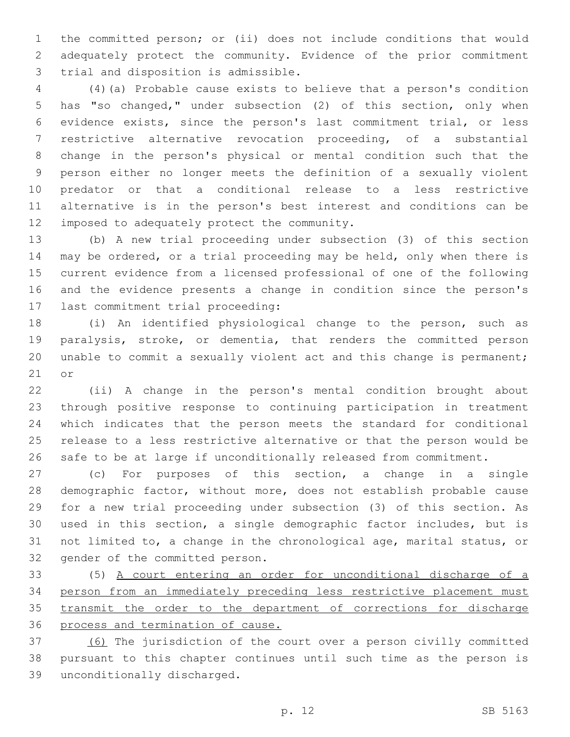the committed person; or (ii) does not include conditions that would adequately protect the community. Evidence of the prior commitment 3 trial and disposition is admissible.

 (4)(a) Probable cause exists to believe that a person's condition has "so changed," under subsection (2) of this section, only when evidence exists, since the person's last commitment trial, or less restrictive alternative revocation proceeding, of a substantial change in the person's physical or mental condition such that the person either no longer meets the definition of a sexually violent predator or that a conditional release to a less restrictive alternative is in the person's best interest and conditions can be 12 imposed to adequately protect the community.

 (b) A new trial proceeding under subsection (3) of this section may be ordered, or a trial proceeding may be held, only when there is current evidence from a licensed professional of one of the following and the evidence presents a change in condition since the person's 17 last commitment trial proceeding:

 (i) An identified physiological change to the person, such as paralysis, stroke, or dementia, that renders the committed person unable to commit a sexually violent act and this change is permanent; or

 (ii) A change in the person's mental condition brought about through positive response to continuing participation in treatment which indicates that the person meets the standard for conditional release to a less restrictive alternative or that the person would be safe to be at large if unconditionally released from commitment.

 (c) For purposes of this section, a change in a single demographic factor, without more, does not establish probable cause for a new trial proceeding under subsection (3) of this section. As used in this section, a single demographic factor includes, but is not limited to, a change in the chronological age, marital status, or 32 gender of the committed person.

 (5) A court entering an order for unconditional discharge of a person from an immediately preceding less restrictive placement must transmit the order to the department of corrections for discharge process and termination of cause.

 (6) The jurisdiction of the court over a person civilly committed pursuant to this chapter continues until such time as the person is unconditionally discharged.39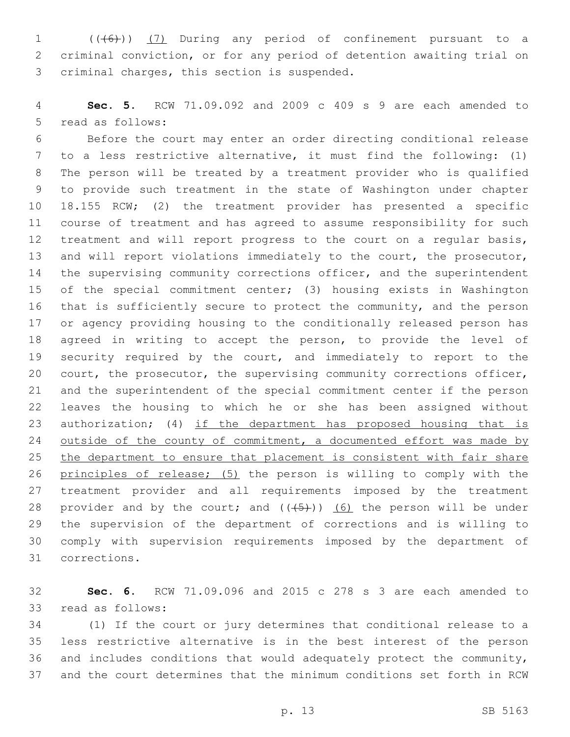1 (((6)) (7) During any period of confinement pursuant to a criminal conviction, or for any period of detention awaiting trial on 3 criminal charges, this section is suspended.

 **Sec. 5.** RCW 71.09.092 and 2009 c 409 s 9 are each amended to 5 read as follows:

 Before the court may enter an order directing conditional release to a less restrictive alternative, it must find the following: (1) The person will be treated by a treatment provider who is qualified to provide such treatment in the state of Washington under chapter 18.155 RCW; (2) the treatment provider has presented a specific course of treatment and has agreed to assume responsibility for such treatment and will report progress to the court on a regular basis, 13 and will report violations immediately to the court, the prosecutor, 14 the supervising community corrections officer, and the superintendent of the special commitment center; (3) housing exists in Washington that is sufficiently secure to protect the community, and the person or agency providing housing to the conditionally released person has agreed in writing to accept the person, to provide the level of security required by the court, and immediately to report to the court, the prosecutor, the supervising community corrections officer, and the superintendent of the special commitment center if the person leaves the housing to which he or she has been assigned without 23 authorization; (4) if the department has proposed housing that is 24 outside of the county of commitment, a documented effort was made by 25 the department to ensure that placement is consistent with fair share principles of release; (5) the person is willing to comply with the treatment provider and all requirements imposed by the treatment 28 provider and by the court; and  $((+5))$  (6) the person will be under the supervision of the department of corrections and is willing to comply with supervision requirements imposed by the department of corrections.31

 **Sec. 6.** RCW 71.09.096 and 2015 c 278 s 3 are each amended to 33 read as follows:

 (1) If the court or jury determines that conditional release to a less restrictive alternative is in the best interest of the person and includes conditions that would adequately protect the community, and the court determines that the minimum conditions set forth in RCW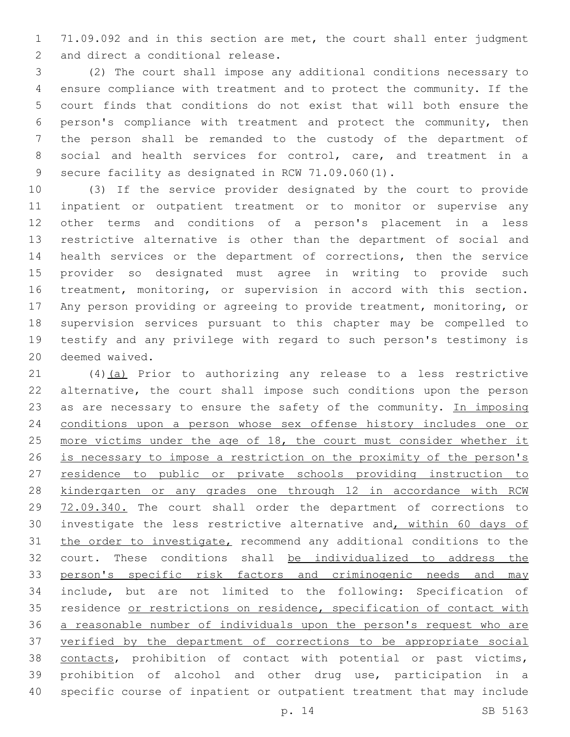71.09.092 and in this section are met, the court shall enter judgment 2 and direct a conditional release.

 (2) The court shall impose any additional conditions necessary to ensure compliance with treatment and to protect the community. If the court finds that conditions do not exist that will both ensure the person's compliance with treatment and protect the community, then the person shall be remanded to the custody of the department of social and health services for control, care, and treatment in a 9 secure facility as designated in RCW 71.09.060(1).

 (3) If the service provider designated by the court to provide inpatient or outpatient treatment or to monitor or supervise any other terms and conditions of a person's placement in a less restrictive alternative is other than the department of social and health services or the department of corrections, then the service provider so designated must agree in writing to provide such treatment, monitoring, or supervision in accord with this section. Any person providing or agreeing to provide treatment, monitoring, or supervision services pursuant to this chapter may be compelled to testify and any privilege with regard to such person's testimony is 20 deemed waived.

 (4)(a) Prior to authorizing any release to a less restrictive alternative, the court shall impose such conditions upon the person 23 as are necessary to ensure the safety of the community. In imposing conditions upon a person whose sex offense history includes one or 25 more victims under the age of 18, the court must consider whether it is necessary to impose a restriction on the proximity of the person's residence to public or private schools providing instruction to kindergarten or any grades one through 12 in accordance with RCW 72.09.340. The court shall order the department of corrections to 30 investigate the less restrictive alternative and, within 60 days of the order to investigate, recommend any additional conditions to the court. These conditions shall be individualized to address the 33 person's specific risk factors and criminogenic needs and may include, but are not limited to the following: Specification of 35 residence or restrictions on residence, specification of contact with a reasonable number of individuals upon the person's request who are verified by the department of corrections to be appropriate social contacts, prohibition of contact with potential or past victims, prohibition of alcohol and other drug use, participation in a specific course of inpatient or outpatient treatment that may include

p. 14 SB 5163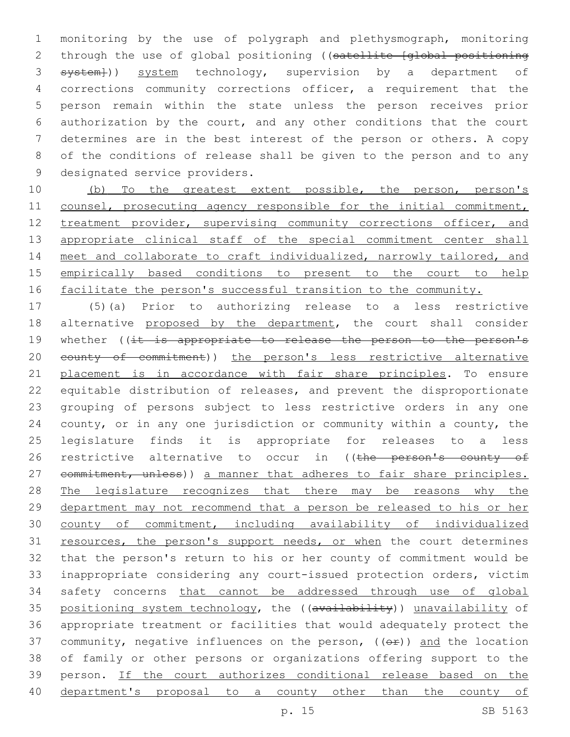monitoring by the use of polygraph and plethysmograph, monitoring 2 through the use of global positioning ((satellite [global positioning 3 system})) system technology, supervision by a department of corrections community corrections officer, a requirement that the person remain within the state unless the person receives prior authorization by the court, and any other conditions that the court determines are in the best interest of the person or others. A copy of the conditions of release shall be given to the person and to any 9 designated service providers.

10 (b) To the greatest extent possible, the person, person's 11 counsel, prosecuting agency responsible for the initial commitment, 12 treatment provider, supervising community corrections officer, and 13 appropriate clinical staff of the special commitment center shall 14 meet and collaborate to craft individualized, narrowly tailored, and 15 empirically based conditions to present to the court to help 16 facilitate the person's successful transition to the community.

 (5)(a) Prior to authorizing release to a less restrictive 18 alternative proposed by the department, the court shall consider 19 whether ((it is appropriate to release the person to the person's 20 eounty of commitment)) the person's less restrictive alternative placement is in accordance with fair share principles. To ensure equitable distribution of releases, and prevent the disproportionate grouping of persons subject to less restrictive orders in any one county, or in any one jurisdiction or community within a county, the legislature finds it is appropriate for releases to a less 26 restrictive alternative to occur in ((the person's county of 27 commitment, unless)) a manner that adheres to fair share principles. 28 The legislature recognizes that there may be reasons why the department may not recommend that a person be released to his or her county of commitment, including availability of individualized 31 resources, the person's support needs, or when the court determines that the person's return to his or her county of commitment would be inappropriate considering any court-issued protection orders, victim safety concerns that cannot be addressed through use of global 35 positioning system technology, the ((availability)) unavailability of appropriate treatment or facilities that would adequately protect the 37 community, negative influences on the person,  $((\theta \hat{r}))$  and the location of family or other persons or organizations offering support to the person. If the court authorizes conditional release based on the department's proposal to a county other than the county of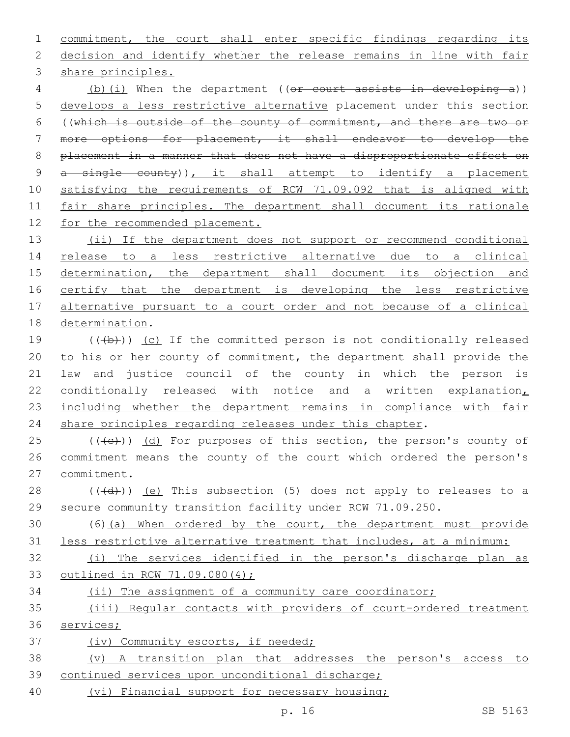commitment, the court shall enter specific findings regarding its decision and identify whether the release remains in line with fair 3 share principles. (b)(i) When the department ((or court assists in developing a)) develops a less restrictive alternative placement under this section ((which is outside of the county of commitment, and there are two or more options for placement, it shall endeavor to develop the placement in a manner that does not have a disproportionate effect on 9 a single county)), it shall attempt to identify a placement satisfying the requirements of RCW 71.09.092 that is aligned with 11 fair share principles. The department shall document its rationale for the recommended placement. 13 (ii) If the department does not support or recommend conditional release to a less restrictive alternative due to a clinical 15 determination, the department shall document its objection and 16 certify that the department is developing the less restrictive alternative pursuant to a court order and not because of a clinical 18 determination.  $((+b))$  (c) If the committed person is not conditionally released to his or her county of commitment, the department shall provide the law and justice council of the county in which the person is 22 conditionally released with notice and a written explanation, including whether the department remains in compliance with fair 24 share principles regarding releases under this chapter. (( $\left(\frac{1}{10}\right)$ ) (d) For purposes of this section, the person's county of commitment means the county of the court which ordered the person's 27 commitment.  $((+d))$   $(e)$  This subsection (5) does not apply to releases to a secure community transition facility under RCW 71.09.250. (6)(a) When ordered by the court, the department must provide less restrictive alternative treatment that includes, at a minimum: (i) The services identified in the person's discharge plan as outlined in RCW 71.09.080(4); 34 (ii) The assignment of a community care coordinator; (iii) Regular contacts with providers of court-ordered treatment services; (iv) Community escorts, if needed;

 (v) A transition plan that addresses the person's access to continued services upon unconditional discharge;

(vi) Financial support for necessary housing;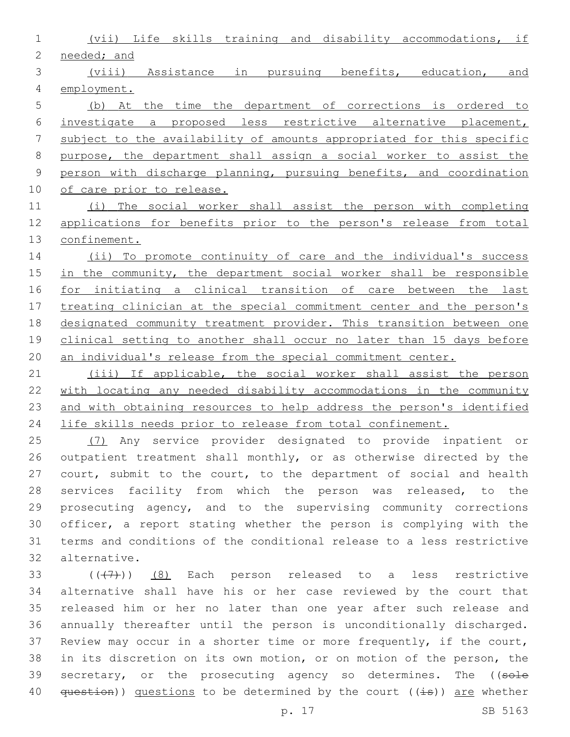(vii) Life skills training and disability accommodations, if needed; and (viii) Assistance in pursuing benefits, education, and employment. (b) At the time the department of corrections is ordered to investigate a proposed less restrictive alternative placement, subject to the availability of amounts appropriated for this specific purpose, the department shall assign a social worker to assist the person with discharge planning, pursuing benefits, and coordination 10 of care prior to release. (i) The social worker shall assist the person with completing applications for benefits prior to the person's release from total confinement.

 (ii) To promote continuity of care and the individual's success 15 in the community, the department social worker shall be responsible for initiating a clinical transition of care between the last 17 treating clinician at the special commitment center and the person's designated community treatment provider. This transition between one 19 clinical setting to another shall occur no later than 15 days before 20 an individual's release from the special commitment center.

 (iii) If applicable, the social worker shall assist the person with locating any needed disability accommodations in the community and with obtaining resources to help address the person's identified life skills needs prior to release from total confinement.

 (7) Any service provider designated to provide inpatient or outpatient treatment shall monthly, or as otherwise directed by the court, submit to the court, to the department of social and health 28 services facility from which the person was released, to the prosecuting agency, and to the supervising community corrections officer, a report stating whether the person is complying with the terms and conditions of the conditional release to a less restrictive alternative.32

 $(1, 47)$  (8) Each person released to a less restrictive alternative shall have his or her case reviewed by the court that released him or her no later than one year after such release and annually thereafter until the person is unconditionally discharged. Review may occur in a shorter time or more frequently, if the court, in its discretion on its own motion, or on motion of the person, the 39 secretary, or the prosecuting agency so determines. The ((sole  $question()$  questions to be determined by the court ( $(i=s)$ ) are whether

p. 17 SB 5163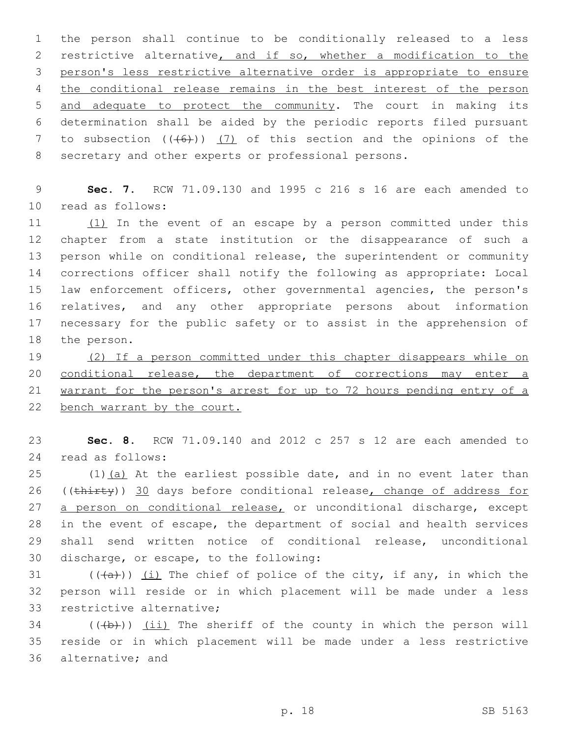the person shall continue to be conditionally released to a less restrictive alternative, and if so, whether a modification to the person's less restrictive alternative order is appropriate to ensure 4 the conditional release remains in the best interest of the person and adequate to protect the community. The court in making its determination shall be aided by the periodic reports filed pursuant 7 to subsection  $((+6))$  (7) of this section and the opinions of the secretary and other experts or professional persons.

 **Sec. 7.** RCW 71.09.130 and 1995 c 216 s 16 are each amended to read as follows:10

11 (1) In the event of an escape by a person committed under this chapter from a state institution or the disappearance of such a person while on conditional release, the superintendent or community corrections officer shall notify the following as appropriate: Local law enforcement officers, other governmental agencies, the person's relatives, and any other appropriate persons about information necessary for the public safety or to assist in the apprehension of 18 the person.

 (2) If a person committed under this chapter disappears while on 20 conditional release, the department of corrections may enter a warrant for the person's arrest for up to 72 hours pending entry of a bench warrant by the court.

 **Sec. 8.** RCW 71.09.140 and 2012 c 257 s 12 are each amended to read as follows:24

 $(1)$   $(a)$  At the earliest possible date, and in no event later than 26 ((thirty)) 30 days before conditional release, change of address for a person on conditional release, or unconditional discharge, except in the event of escape, the department of social and health services shall send written notice of conditional release, unconditional 30 discharge, or escape, to the following:

31  $((+a))$   $(i)$  The chief of police of the city, if any, in which the person will reside or in which placement will be made under a less 33 restrictive alternative;

 (( $\left(\frac{1}{2}+\right)$ ) (ii) The sheriff of the county in which the person will reside or in which placement will be made under a less restrictive 36 alternative; and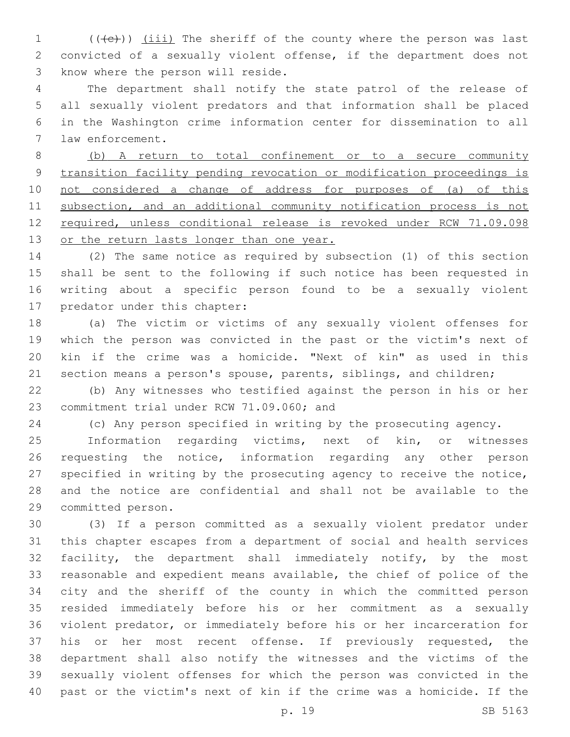1 (((+e))) (iii) The sheriff of the county where the person was last convicted of a sexually violent offense, if the department does not 3 know where the person will reside.

 The department shall notify the state patrol of the release of all sexually violent predators and that information shall be placed in the Washington crime information center for dissemination to all 7 law enforcement.

 (b) A return to total confinement or to a secure community transition facility pending revocation or modification proceedings is not considered a change of address for purposes of (a) of this subsection, and an additional community notification process is not required, unless conditional release is revoked under RCW 71.09.098 13 or the return lasts longer than one year.

 (2) The same notice as required by subsection (1) of this section shall be sent to the following if such notice has been requested in writing about a specific person found to be a sexually violent 17 predator under this chapter:

 (a) The victim or victims of any sexually violent offenses for which the person was convicted in the past or the victim's next of kin if the crime was a homicide. "Next of kin" as used in this 21 section means a person's spouse, parents, siblings, and children;

 (b) Any witnesses who testified against the person in his or her 23 commitment trial under RCW 71.09.060; and

(c) Any person specified in writing by the prosecuting agency.

 Information regarding victims, next of kin, or witnesses 26 requesting the notice, information regarding any other person specified in writing by the prosecuting agency to receive the notice, and the notice are confidential and shall not be available to the 29 committed person.

 (3) If a person committed as a sexually violent predator under this chapter escapes from a department of social and health services facility, the department shall immediately notify, by the most reasonable and expedient means available, the chief of police of the city and the sheriff of the county in which the committed person resided immediately before his or her commitment as a sexually violent predator, or immediately before his or her incarceration for his or her most recent offense. If previously requested, the department shall also notify the witnesses and the victims of the sexually violent offenses for which the person was convicted in the past or the victim's next of kin if the crime was a homicide. If the

p. 19 SB 5163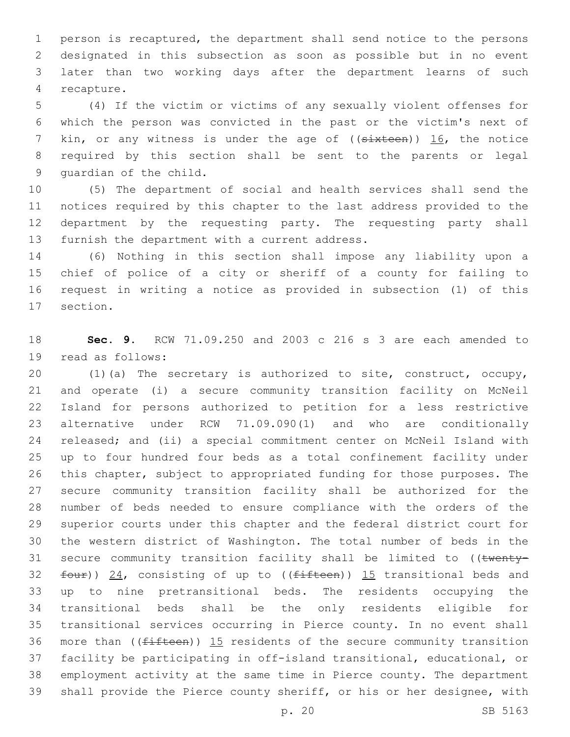person is recaptured, the department shall send notice to the persons designated in this subsection as soon as possible but in no event later than two working days after the department learns of such 4 recapture.

 (4) If the victim or victims of any sexually violent offenses for which the person was convicted in the past or the victim's next of 7 kin, or any witness is under the age of ((sixteen)) 16, the notice required by this section shall be sent to the parents or legal 9 quardian of the child.

 (5) The department of social and health services shall send the notices required by this chapter to the last address provided to the department by the requesting party. The requesting party shall 13 furnish the department with a current address.

 (6) Nothing in this section shall impose any liability upon a chief of police of a city or sheriff of a county for failing to request in writing a notice as provided in subsection (1) of this 17 section.

 **Sec. 9.** RCW 71.09.250 and 2003 c 216 s 3 are each amended to 19 read as follows:

 (1)(a) The secretary is authorized to site, construct, occupy, and operate (i) a secure community transition facility on McNeil Island for persons authorized to petition for a less restrictive alternative under RCW 71.09.090(1) and who are conditionally released; and (ii) a special commitment center on McNeil Island with up to four hundred four beds as a total confinement facility under this chapter, subject to appropriated funding for those purposes. The secure community transition facility shall be authorized for the number of beds needed to ensure compliance with the orders of the superior courts under this chapter and the federal district court for the western district of Washington. The total number of beds in the 31 secure community transition facility shall be limited to ((twenty- $four)$ ) 24, consisting of up to (( $fifteen$ )) 15 transitional beds and up to nine pretransitional beds. The residents occupying the transitional beds shall be the only residents eligible for transitional services occurring in Pierce county. In no event shall 36 more than ( $(fifteen)$ ) 15 residents of the secure community transition facility be participating in off-island transitional, educational, or employment activity at the same time in Pierce county. The department shall provide the Pierce county sheriff, or his or her designee, with

p. 20 SB 5163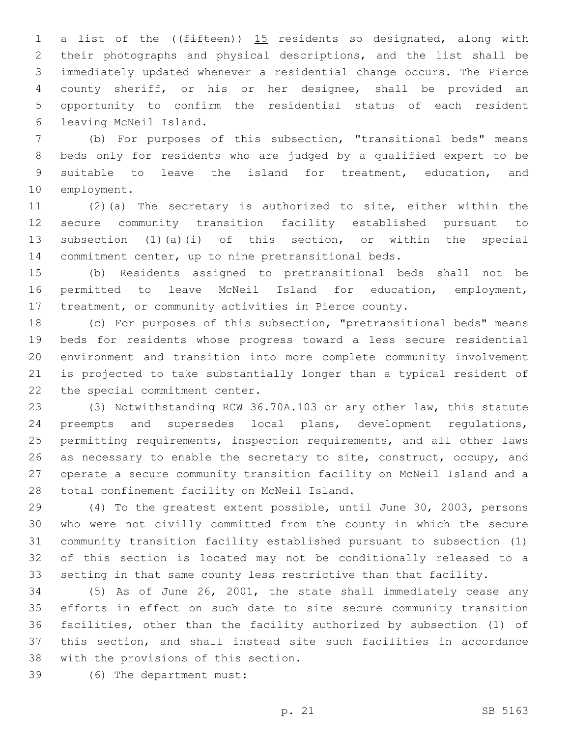1 a list of the ((fifteen)) 15 residents so designated, along with their photographs and physical descriptions, and the list shall be immediately updated whenever a residential change occurs. The Pierce county sheriff, or his or her designee, shall be provided an opportunity to confirm the residential status of each resident leaving McNeil Island.6

 (b) For purposes of this subsection, "transitional beds" means beds only for residents who are judged by a qualified expert to be suitable to leave the island for treatment, education, and 10 employment.

 (2)(a) The secretary is authorized to site, either within the secure community transition facility established pursuant to subsection (1)(a)(i) of this section, or within the special commitment center, up to nine pretransitional beds.

 (b) Residents assigned to pretransitional beds shall not be permitted to leave McNeil Island for education, employment, treatment, or community activities in Pierce county.

 (c) For purposes of this subsection, "pretransitional beds" means beds for residents whose progress toward a less secure residential environment and transition into more complete community involvement is projected to take substantially longer than a typical resident of 22 the special commitment center.

 (3) Notwithstanding RCW 36.70A.103 or any other law, this statute preempts and supersedes local plans, development regulations, permitting requirements, inspection requirements, and all other laws 26 as necessary to enable the secretary to site, construct, occupy, and operate a secure community transition facility on McNeil Island and a 28 total confinement facility on McNeil Island.

 (4) To the greatest extent possible, until June 30, 2003, persons who were not civilly committed from the county in which the secure community transition facility established pursuant to subsection (1) of this section is located may not be conditionally released to a setting in that same county less restrictive than that facility.

 (5) As of June 26, 2001, the state shall immediately cease any efforts in effect on such date to site secure community transition facilities, other than the facility authorized by subsection (1) of this section, and shall instead site such facilities in accordance 38 with the provisions of this section.

(6) The department must:39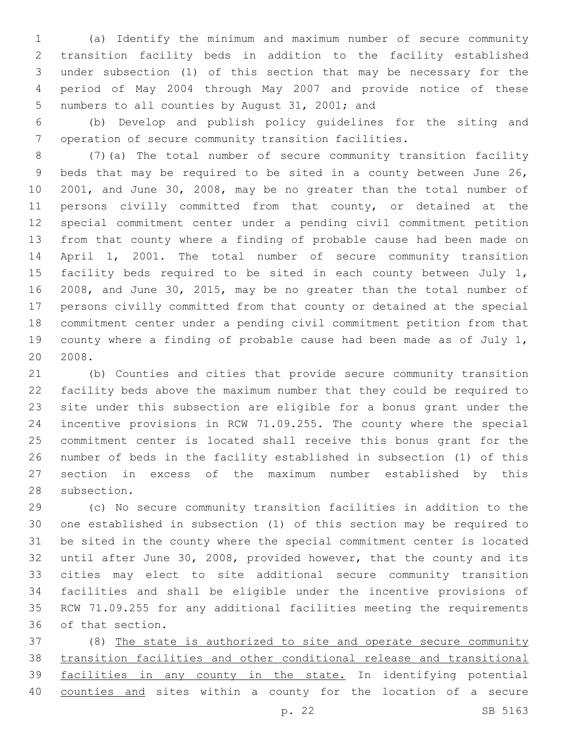(a) Identify the minimum and maximum number of secure community transition facility beds in addition to the facility established under subsection (1) of this section that may be necessary for the period of May 2004 through May 2007 and provide notice of these 5 numbers to all counties by August 31, 2001; and

 (b) Develop and publish policy guidelines for the siting and operation of secure community transition facilities.

 (7)(a) The total number of secure community transition facility beds that may be required to be sited in a county between June 26, 2001, and June 30, 2008, may be no greater than the total number of persons civilly committed from that county, or detained at the special commitment center under a pending civil commitment petition from that county where a finding of probable cause had been made on April 1, 2001. The total number of secure community transition 15 facility beds required to be sited in each county between July 1, 2008, and June 30, 2015, may be no greater than the total number of persons civilly committed from that county or detained at the special commitment center under a pending civil commitment petition from that county where a finding of probable cause had been made as of July 1, 2008.

 (b) Counties and cities that provide secure community transition facility beds above the maximum number that they could be required to site under this subsection are eligible for a bonus grant under the incentive provisions in RCW 71.09.255. The county where the special commitment center is located shall receive this bonus grant for the number of beds in the facility established in subsection (1) of this section in excess of the maximum number established by this 28 subsection.

 (c) No secure community transition facilities in addition to the one established in subsection (1) of this section may be required to be sited in the county where the special commitment center is located until after June 30, 2008, provided however, that the county and its cities may elect to site additional secure community transition facilities and shall be eligible under the incentive provisions of RCW 71.09.255 for any additional facilities meeting the requirements 36 of that section.

 (8) The state is authorized to site and operate secure community transition facilities and other conditional release and transitional 39 facilities in any county in the state. In identifying potential 40 counties and sites within a county for the location of a secure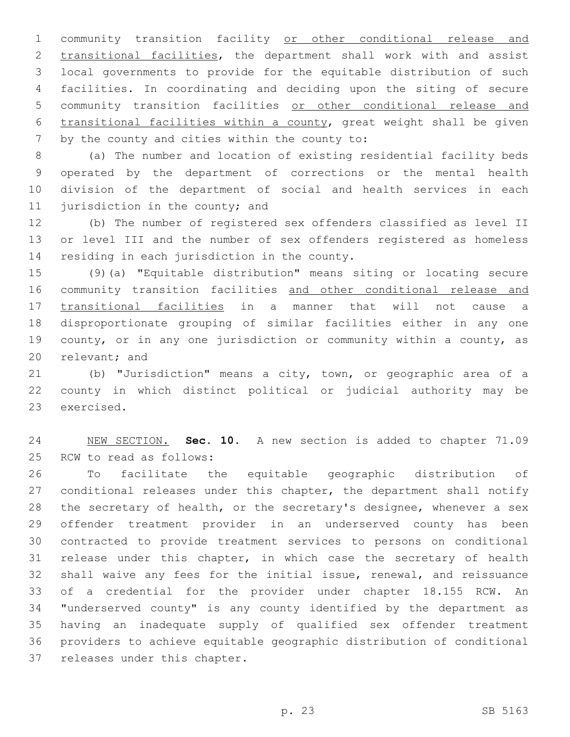community transition facility or other conditional release and transitional facilities, the department shall work with and assist local governments to provide for the equitable distribution of such facilities. In coordinating and deciding upon the siting of secure community transition facilities or other conditional release and transitional facilities within a county, great weight shall be given 7 by the county and cities within the county to:

 (a) The number and location of existing residential facility beds operated by the department of corrections or the mental health division of the department of social and health services in each 11 jurisdiction in the county; and

 (b) The number of registered sex offenders classified as level II or level III and the number of sex offenders registered as homeless 14 residing in each jurisdiction in the county.

 (9)(a) "Equitable distribution" means siting or locating secure 16 community transition facilities and other conditional release and transitional facilities in a manner that will not cause a disproportionate grouping of similar facilities either in any one county, or in any one jurisdiction or community within a county, as 20 relevant; and

 (b) "Jurisdiction" means a city, town, or geographic area of a county in which distinct political or judicial authority may be 23 exercised.

 NEW SECTION. **Sec. 10.** A new section is added to chapter 71.09 25 RCW to read as follows:

 To facilitate the equitable geographic distribution of conditional releases under this chapter, the department shall notify the secretary of health, or the secretary's designee, whenever a sex offender treatment provider in an underserved county has been contracted to provide treatment services to persons on conditional 31 release under this chapter, in which case the secretary of health shall waive any fees for the initial issue, renewal, and reissuance of a credential for the provider under chapter 18.155 RCW. An "underserved county" is any county identified by the department as having an inadequate supply of qualified sex offender treatment providers to achieve equitable geographic distribution of conditional 37 releases under this chapter.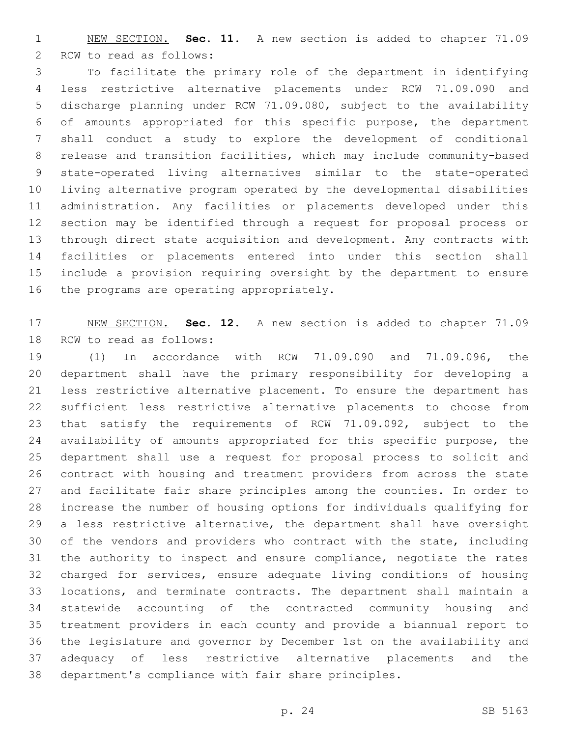NEW SECTION. **Sec. 11.** A new section is added to chapter 71.09 2 RCW to read as follows:

 To facilitate the primary role of the department in identifying less restrictive alternative placements under RCW 71.09.090 and discharge planning under RCW 71.09.080, subject to the availability of amounts appropriated for this specific purpose, the department shall conduct a study to explore the development of conditional release and transition facilities, which may include community-based state-operated living alternatives similar to the state-operated living alternative program operated by the developmental disabilities administration. Any facilities or placements developed under this section may be identified through a request for proposal process or through direct state acquisition and development. Any contracts with facilities or placements entered into under this section shall include a provision requiring oversight by the department to ensure 16 the programs are operating appropriately.

 NEW SECTION. **Sec. 12.** A new section is added to chapter 71.09 18 RCW to read as follows:

 (1) In accordance with RCW 71.09.090 and 71.09.096, the department shall have the primary responsibility for developing a less restrictive alternative placement. To ensure the department has sufficient less restrictive alternative placements to choose from that satisfy the requirements of RCW 71.09.092, subject to the availability of amounts appropriated for this specific purpose, the department shall use a request for proposal process to solicit and contract with housing and treatment providers from across the state and facilitate fair share principles among the counties. In order to increase the number of housing options for individuals qualifying for a less restrictive alternative, the department shall have oversight of the vendors and providers who contract with the state, including the authority to inspect and ensure compliance, negotiate the rates charged for services, ensure adequate living conditions of housing locations, and terminate contracts. The department shall maintain a statewide accounting of the contracted community housing and treatment providers in each county and provide a biannual report to the legislature and governor by December 1st on the availability and adequacy of less restrictive alternative placements and the department's compliance with fair share principles.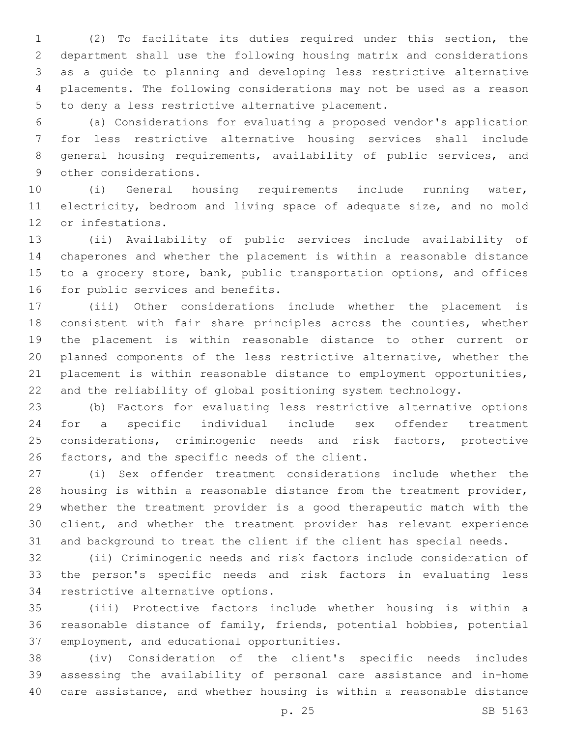(2) To facilitate its duties required under this section, the department shall use the following housing matrix and considerations as a guide to planning and developing less restrictive alternative placements. The following considerations may not be used as a reason 5 to deny a less restrictive alternative placement.

 (a) Considerations for evaluating a proposed vendor's application for less restrictive alternative housing services shall include general housing requirements, availability of public services, and 9 other considerations.

 (i) General housing requirements include running water, electricity, bedroom and living space of adequate size, and no mold 12 or infestations.

 (ii) Availability of public services include availability of chaperones and whether the placement is within a reasonable distance 15 to a grocery store, bank, public transportation options, and offices 16 for public services and benefits.

 (iii) Other considerations include whether the placement is consistent with fair share principles across the counties, whether the placement is within reasonable distance to other current or planned components of the less restrictive alternative, whether the placement is within reasonable distance to employment opportunities, and the reliability of global positioning system technology.

 (b) Factors for evaluating less restrictive alternative options for a specific individual include sex offender treatment considerations, criminogenic needs and risk factors, protective 26 factors, and the specific needs of the client.

 (i) Sex offender treatment considerations include whether the housing is within a reasonable distance from the treatment provider, whether the treatment provider is a good therapeutic match with the client, and whether the treatment provider has relevant experience and background to treat the client if the client has special needs.

 (ii) Criminogenic needs and risk factors include consideration of the person's specific needs and risk factors in evaluating less 34 restrictive alternative options.

 (iii) Protective factors include whether housing is within a reasonable distance of family, friends, potential hobbies, potential 37 employment, and educational opportunities.

 (iv) Consideration of the client's specific needs includes assessing the availability of personal care assistance and in-home care assistance, and whether housing is within a reasonable distance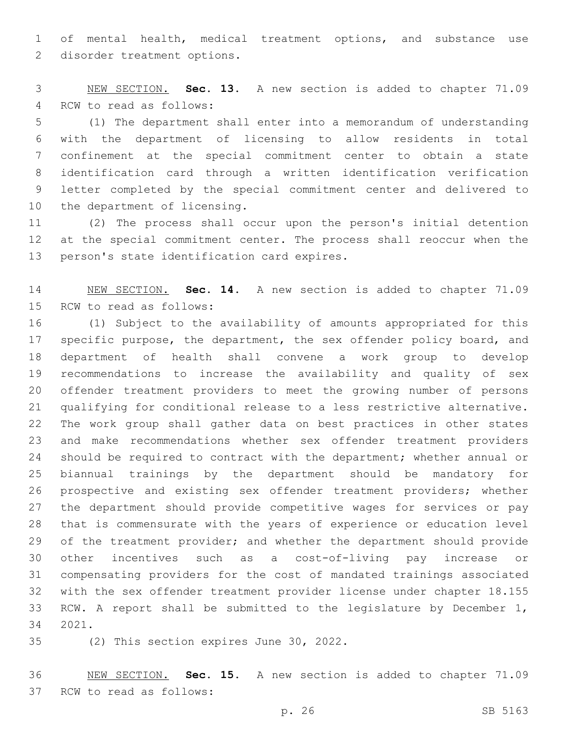of mental health, medical treatment options, and substance use 2 disorder treatment options.

 NEW SECTION. **Sec. 13.** A new section is added to chapter 71.09 4 RCW to read as follows:

 (1) The department shall enter into a memorandum of understanding with the department of licensing to allow residents in total confinement at the special commitment center to obtain a state identification card through a written identification verification letter completed by the special commitment center and delivered to 10 the department of licensing.

 (2) The process shall occur upon the person's initial detention at the special commitment center. The process shall reoccur when the 13 person's state identification card expires.

 NEW SECTION. **Sec. 14.** A new section is added to chapter 71.09 15 RCW to read as follows:

 (1) Subject to the availability of amounts appropriated for this specific purpose, the department, the sex offender policy board, and department of health shall convene a work group to develop recommendations to increase the availability and quality of sex offender treatment providers to meet the growing number of persons qualifying for conditional release to a less restrictive alternative. The work group shall gather data on best practices in other states and make recommendations whether sex offender treatment providers should be required to contract with the department; whether annual or biannual trainings by the department should be mandatory for prospective and existing sex offender treatment providers; whether the department should provide competitive wages for services or pay that is commensurate with the years of experience or education level 29 of the treatment provider; and whether the department should provide other incentives such as a cost-of-living pay increase or compensating providers for the cost of mandated trainings associated with the sex offender treatment provider license under chapter 18.155 RCW. A report shall be submitted to the legislature by December 1, 2021.34

35 (2) This section expires June 30, 2022.

 NEW SECTION. **Sec. 15.** A new section is added to chapter 71.09 37 RCW to read as follows: